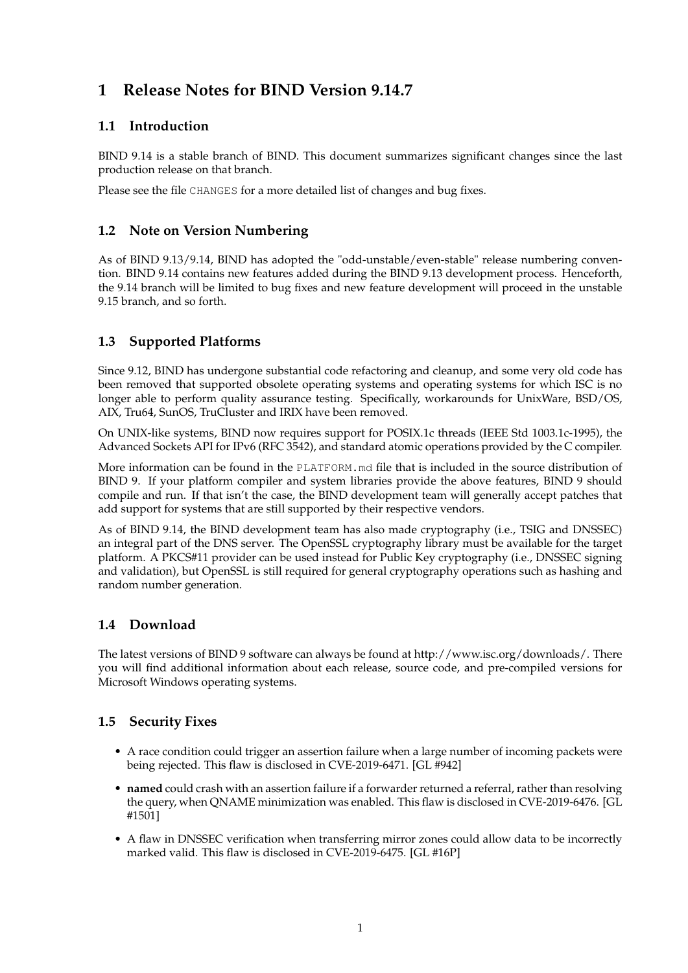# **1 Release Notes for BIND Version 9.14.7**

# **1.1 Introduction**

BIND 9.14 is a stable branch of BIND. This document summarizes significant changes since the last production release on that branch.

Please see the file CHANGES for a more detailed list of changes and bug fixes.

### **1.2 Note on Version Numbering**

As of BIND 9.13/9.14, BIND has adopted the "odd-unstable/even-stable" release numbering convention. BIND 9.14 contains new features added during the BIND 9.13 development process. Henceforth, the 9.14 branch will be limited to bug fixes and new feature development will proceed in the unstable 9.15 branch, and so forth.

# **1.3 Supported Platforms**

Since 9.12, BIND has undergone substantial code refactoring and cleanup, and some very old code has been removed that supported obsolete operating systems and operating systems for which ISC is no longer able to perform quality assurance testing. Specifically, workarounds for UnixWare, BSD/OS, AIX, Tru64, SunOS, TruCluster and IRIX have been removed.

On UNIX-like systems, BIND now requires support for POSIX.1c threads (IEEE Std 1003.1c-1995), the Advanced Sockets API for IPv6 (RFC 3542), and standard atomic operations provided by the C compiler.

More information can be found in the PLATFORM.md file that is included in the source distribution of BIND 9. If your platform compiler and system libraries provide the above features, BIND 9 should compile and run. If that isn't the case, the BIND development team will generally accept patches that add support for systems that are still supported by their respective vendors.

As of BIND 9.14, the BIND development team has also made cryptography (i.e., TSIG and DNSSEC) an integral part of the DNS server. The OpenSSL cryptography library must be available for the target platform. A PKCS#11 provider can be used instead for Public Key cryptography (i.e., DNSSEC signing and validation), but OpenSSL is still required for general cryptography operations such as hashing and random number generation.

# **1.4 Download**

The latest versions of BIND 9 software can always be found at http://www.isc.org/downloads/. There you will find additional information about each release, source code, and pre-compiled versions for Microsoft Windows operating systems.

# **1.5 Security Fixes**

- A race condition could trigger an assertion failure when a large number of incoming packets were being rejected. This flaw is disclosed in CVE-2019-6471. [GL #942]
- **named** could crash with an assertion failure if a forwarder returned a referral, rather than resolving the query, when QNAME minimization was enabled. This flaw is disclosed in CVE-2019-6476. [GL #1501]
- A flaw in DNSSEC verification when transferring mirror zones could allow data to be incorrectly marked valid. This flaw is disclosed in CVE-2019-6475. [GL #16P]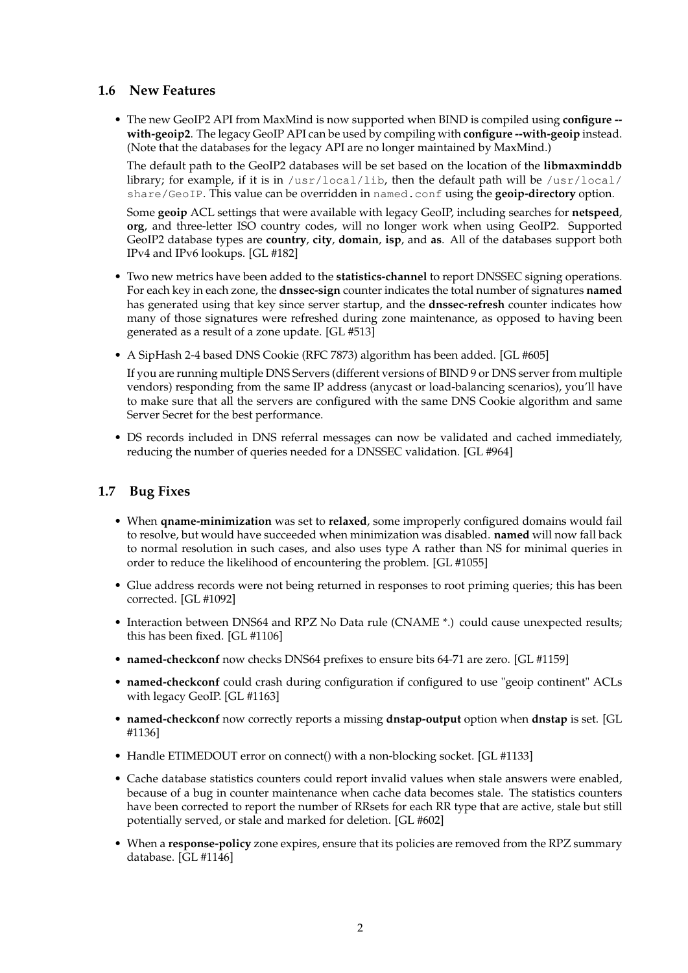#### **1.6 New Features**

• The new GeoIP2 API from MaxMind is now supported when BIND is compiled using **configure - with-geoip2**. The legacy GeoIP API can be used by compiling with **configure --with-geoip** instead. (Note that the databases for the legacy API are no longer maintained by MaxMind.)

The default path to the GeoIP2 databases will be set based on the location of the **libmaxminddb** library; for example, if it is in /usr/local/lib, then the default path will be /usr/local/ share/GeoIP. This value can be overridden in named.conf using the **geoip-directory** option.

Some **geoip** ACL settings that were available with legacy GeoIP, including searches for **netspeed**, **org**, and three-letter ISO country codes, will no longer work when using GeoIP2. Supported GeoIP2 database types are **country**, **city**, **domain**, **isp**, and **as**. All of the databases support both IPv4 and IPv6 lookups. [GL #182]

- Two new metrics have been added to the **statistics-channel** to report DNSSEC signing operations. For each key in each zone, the **dnssec-sign** counter indicates the total number of signatures **named** has generated using that key since server startup, and the **dnssec-refresh** counter indicates how many of those signatures were refreshed during zone maintenance, as opposed to having been generated as a result of a zone update. [GL #513]
- A SipHash 2-4 based DNS Cookie (RFC 7873) algorithm has been added. [GL #605]

If you are running multiple DNS Servers (different versions of BIND 9 or DNS server from multiple vendors) responding from the same IP address (anycast or load-balancing scenarios), you'll have to make sure that all the servers are configured with the same DNS Cookie algorithm and same Server Secret for the best performance.

• DS records included in DNS referral messages can now be validated and cached immediately, reducing the number of queries needed for a DNSSEC validation. [GL #964]

### **1.7 Bug Fixes**

- When **qname-minimization** was set to **relaxed**, some improperly configured domains would fail to resolve, but would have succeeded when minimization was disabled. **named** will now fall back to normal resolution in such cases, and also uses type A rather than NS for minimal queries in order to reduce the likelihood of encountering the problem. [GL #1055]
- Glue address records were not being returned in responses to root priming queries; this has been corrected. [GL #1092]
- Interaction between DNS64 and RPZ No Data rule (CNAME \*.) could cause unexpected results; this has been fixed. [GL #1106]
- **named-checkconf** now checks DNS64 prefixes to ensure bits 64-71 are zero. [GL #1159]
- **named-checkconf** could crash during configuration if configured to use "geoip continent" ACLs with legacy GeoIP. [GL #1163]
- **named-checkconf** now correctly reports a missing **dnstap-output** option when **dnstap** is set. [GL #1136]
- Handle ETIMEDOUT error on connect() with a non-blocking socket. [GL #1133]
- Cache database statistics counters could report invalid values when stale answers were enabled, because of a bug in counter maintenance when cache data becomes stale. The statistics counters have been corrected to report the number of RRsets for each RR type that are active, stale but still potentially served, or stale and marked for deletion. [GL #602]
- When a **response-policy** zone expires, ensure that its policies are removed from the RPZ summary database. [GL #1146]